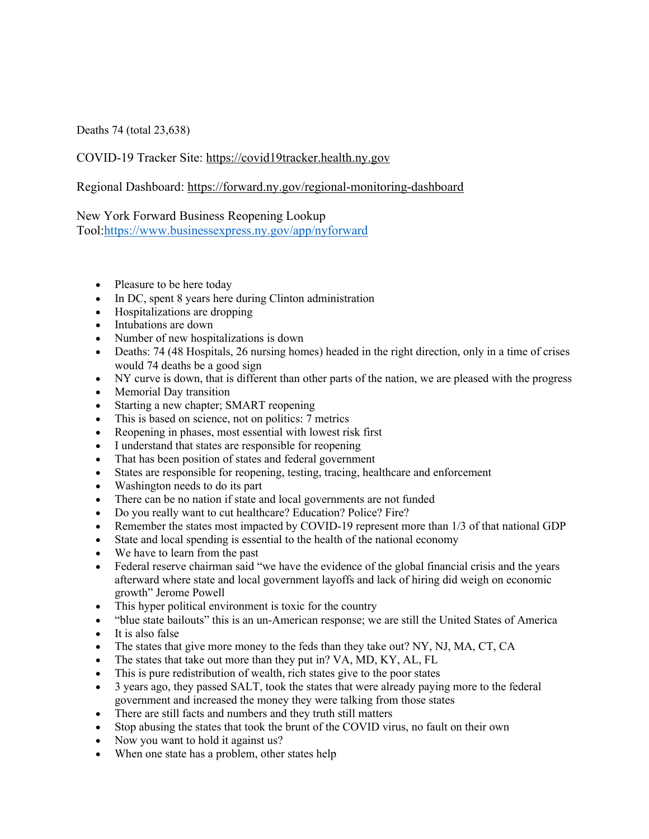Deaths 74 (total 23,638)

COVID-19 Tracker Site: https://covid19tracker.health.ny.gov

Regional Dashboard: https://forward.ny.gov/regional-monitoring-dashboard

New York Forward Business Reopening Lookup

Tool:https://www.businessexpress.ny.gov/app/nyforward

- Pleasure to be here today
- In DC, spent 8 years here during Clinton administration
- Hospitalizations are dropping
- Intubations are down
- Number of new hospitalizations is down
- Deaths: 74 (48 Hospitals, 26 nursing homes) headed in the right direction, only in a time of crises would 74 deaths be a good sign
- NY curve is down, that is different than other parts of the nation, we are pleased with the progress
- Memorial Day transition
- Starting a new chapter; SMART reopening
- This is based on science, not on politics: 7 metrics
- Reopening in phases, most essential with lowest risk first
- I understand that states are responsible for reopening
- That has been position of states and federal government
- States are responsible for reopening, testing, tracing, healthcare and enforcement
- Washington needs to do its part
- There can be no nation if state and local governments are not funded
- Do you really want to cut healthcare? Education? Police? Fire?
- Remember the states most impacted by COVID-19 represent more than  $1/3$  of that national GDP
- State and local spending is essential to the health of the national economy
- We have to learn from the past
- Federal reserve chairman said "we have the evidence of the global financial crisis and the years afterward where state and local government layoffs and lack of hiring did weigh on economic growth" Jerome Powell
- This hyper political environment is toxic for the country
- "blue state bailouts" this is an un-American response; we are still the United States of America
- It is also false
- The states that give more money to the feds than they take out? NY, NJ, MA, CT, CA
- The states that take out more than they put in? VA, MD, KY, AL, FL
- This is pure redistribution of wealth, rich states give to the poor states
- 3 years ago, they passed SALT, took the states that were already paying more to the federal government and increased the money they were talking from those states
- There are still facts and numbers and they truth still matters
- Stop abusing the states that took the brunt of the COVID virus, no fault on their own
- Now you want to hold it against us?
- When one state has a problem, other states help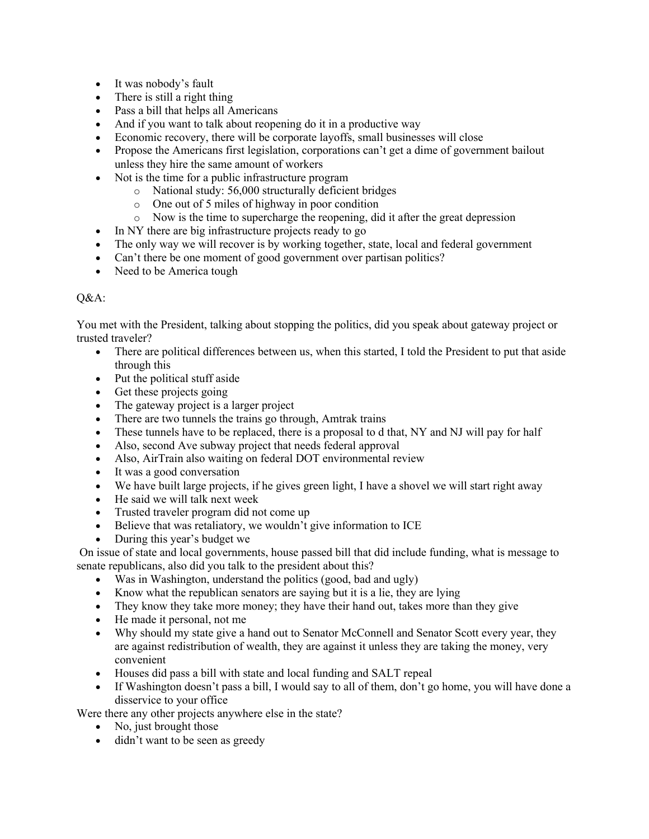- It was nobody's fault
- There is still a right thing
- Pass a bill that helps all Americans
- And if you want to talk about reopening do it in a productive way
- Economic recovery, there will be corporate layoffs, small businesses will close
- Propose the Americans first legislation, corporations can't get a dime of government bailout unless they hire the same amount of workers
- Not is the time for a public infrastructure program
	- o National study: 56,000 structurally deficient bridges
	- o One out of 5 miles of highway in poor condition
	- o Now is the time to supercharge the reopening, did it after the great depression
- In NY there are big infrastructure projects ready to go
- The only way we will recover is by working together, state, local and federal government
- Can't there be one moment of good government over partisan politics?
- Need to be America tough

## Q&A:

You met with the President, talking about stopping the politics, did you speak about gateway project or trusted traveler?

- There are political differences between us, when this started, I told the President to put that aside through this
- Put the political stuff aside
- Get these projects going
- The gateway project is a larger project
- There are two tunnels the trains go through, Amtrak trains
- These tunnels have to be replaced, there is a proposal to d that, NY and NJ will pay for half
- Also, second Ave subway project that needs federal approval
- Also, AirTrain also waiting on federal DOT environmental review
- It was a good conversation
- We have built large projects, if he gives green light, I have a shovel we will start right away
- He said we will talk next week
- Trusted traveler program did not come up
- Believe that was retaliatory, we wouldn't give information to ICE
- During this year's budget we

On issue of state and local governments, house passed bill that did include funding, what is message to senate republicans, also did you talk to the president about this?

- Was in Washington, understand the politics (good, bad and ugly)
- Know what the republican senators are saying but it is a lie, they are lying
- They know they take more money; they have their hand out, takes more than they give
- He made it personal, not me
- Why should my state give a hand out to Senator McConnell and Senator Scott every year, they are against redistribution of wealth, they are against it unless they are taking the money, very convenient
- Houses did pass a bill with state and local funding and SALT repeal
- If Washington doesn't pass a bill, I would say to all of them, don't go home, you will have done a disservice to your office

Were there any other projects anywhere else in the state?

- No, just brought those
- didn't want to be seen as greedy